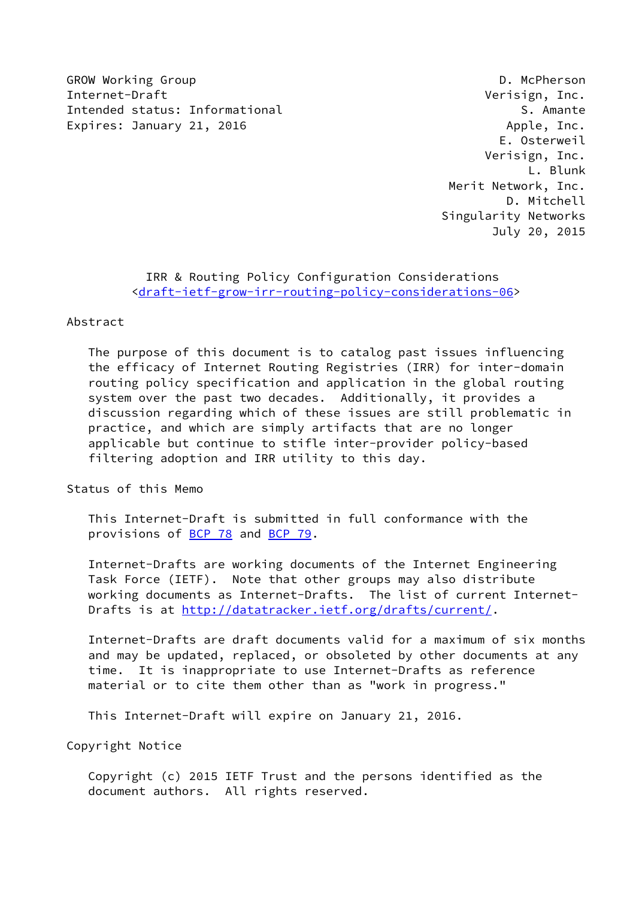GROW Working Group **D. McPherson** Internet-Draft **Verisign, Inc.** Intended status: Informational S. Amante Expires: January 21, 2016 **Apple**, Inc.

 E. Osterweil Verisign, Inc. L. Blunk Merit Network, Inc. D. Mitchell Singularity Networks July 20, 2015

# IRR & Routing Policy Configuration Considerations <[draft-ietf-grow-irr-routing-policy-considerations-06>](https://datatracker.ietf.org/doc/pdf/draft-ietf-grow-irr-routing-policy-considerations-06)

### Abstract

 The purpose of this document is to catalog past issues influencing the efficacy of Internet Routing Registries (IRR) for inter-domain routing policy specification and application in the global routing system over the past two decades. Additionally, it provides a discussion regarding which of these issues are still problematic in practice, and which are simply artifacts that are no longer applicable but continue to stifle inter-provider policy-based filtering adoption and IRR utility to this day.

Status of this Memo

 This Internet-Draft is submitted in full conformance with the provisions of [BCP 78](https://datatracker.ietf.org/doc/pdf/bcp78) and [BCP 79](https://datatracker.ietf.org/doc/pdf/bcp79).

 Internet-Drafts are working documents of the Internet Engineering Task Force (IETF). Note that other groups may also distribute working documents as Internet-Drafts. The list of current Internet- Drafts is at<http://datatracker.ietf.org/drafts/current/>.

 Internet-Drafts are draft documents valid for a maximum of six months and may be updated, replaced, or obsoleted by other documents at any time. It is inappropriate to use Internet-Drafts as reference material or to cite them other than as "work in progress."

This Internet-Draft will expire on January 21, 2016.

Copyright Notice

 Copyright (c) 2015 IETF Trust and the persons identified as the document authors. All rights reserved.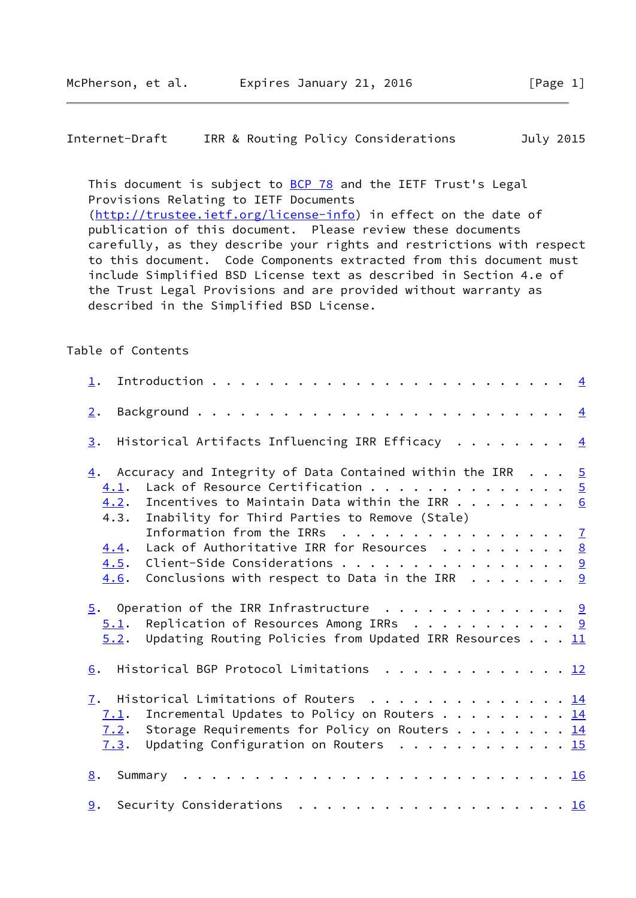```
Internet-Draft IRR & Routing Policy Considerations July 2015
```
This document is subject to **[BCP 78](https://datatracker.ietf.org/doc/pdf/bcp78)** and the IETF Trust's Legal Provisions Relating to IETF Documents [\(http://trustee.ietf.org/license-info](http://trustee.ietf.org/license-info)) in effect on the date of publication of this document. Please review these documents carefully, as they describe your rights and restrictions with respect to this document. Code Components extracted from this document must include Simplified BSD License text as described in Section 4.e of the Trust Legal Provisions and are provided without warranty as described in the Simplified BSD License.

# Table of Contents

| $\perp$ .                                                                                                              |  |               |
|------------------------------------------------------------------------------------------------------------------------|--|---------------|
| 2.                                                                                                                     |  |               |
| Historical Artifacts Influencing IRR Efficacy<br>3.                                                                    |  | $\frac{4}{3}$ |
| $\underline{4}$ . Accuracy and Integrity of Data Contained within the IRR                                              |  | $\frac{5}{2}$ |
| Lack of Resource Certification $\frac{5}{2}$<br>4.1.                                                                   |  |               |
| Incentives to Maintain Data within the IRR $\cdots$ 6<br>4.2.<br>Inability for Third Parties to Remove (Stale)<br>4.3. |  |               |
| Information from the IRRs $\ldots$ $\frac{7}{2}$                                                                       |  |               |
| Lack of Authoritative IRR for Resources 8<br>4.4.                                                                      |  |               |
| Client-Side Considerations<br>4.5.                                                                                     |  | 9             |
| Conclusions with respect to Data in the IRR $\ldots \ldots$ 9<br>4.6.                                                  |  |               |
| $\frac{5}{2}$ . Operation of the IRR Infrastructure 9                                                                  |  |               |
| Replication of Resources Among IRRs $\ldots$ 9<br>5.1.                                                                 |  |               |
| Updating Routing Policies from Updated IRR Resources $11$<br>5.2.                                                      |  |               |
| Historical BGP Protocol Limitations 12<br>6.                                                                           |  |               |
| 7. Historical Limitations of Routers 14                                                                                |  |               |
| Incremental Updates to Policy on Routers 14<br>7.1.                                                                    |  |               |
| Storage Requirements for Policy on Routers 14<br>7.2.                                                                  |  |               |
| Updating Configuration on Routers $\ldots \ldots \ldots \ldots \frac{15}{25}$<br>7.3.                                  |  |               |
| 8.                                                                                                                     |  |               |
| Security Considerations<br>9.                                                                                          |  |               |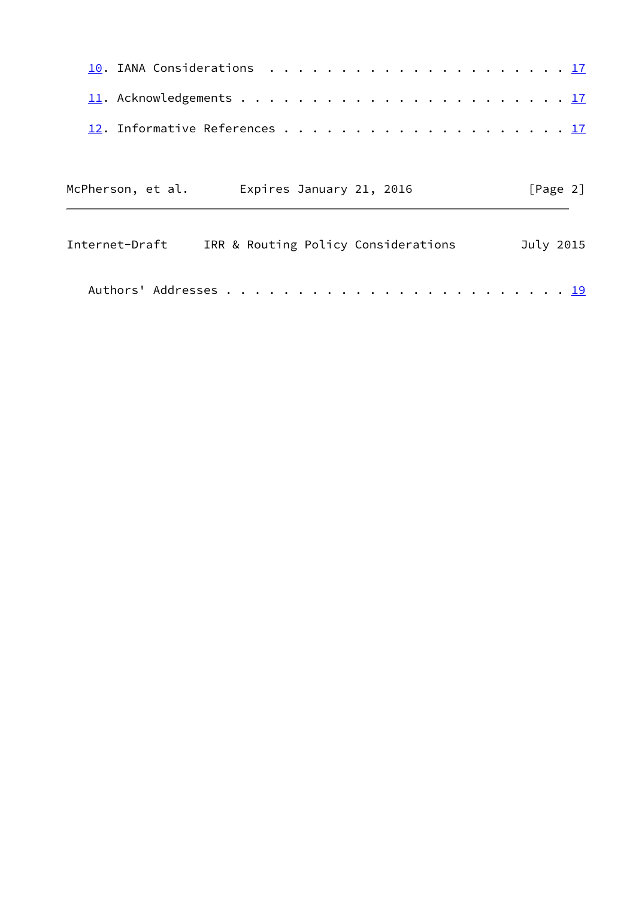| McPherson, et al. |                                     | Expires January 21, 2016 |  |  |  |  |  |  | [Page 2]  |
|-------------------|-------------------------------------|--------------------------|--|--|--|--|--|--|-----------|
| Internet-Draft    | IRR & Routing Policy Considerations |                          |  |  |  |  |  |  | July 2015 |
|                   |                                     |                          |  |  |  |  |  |  |           |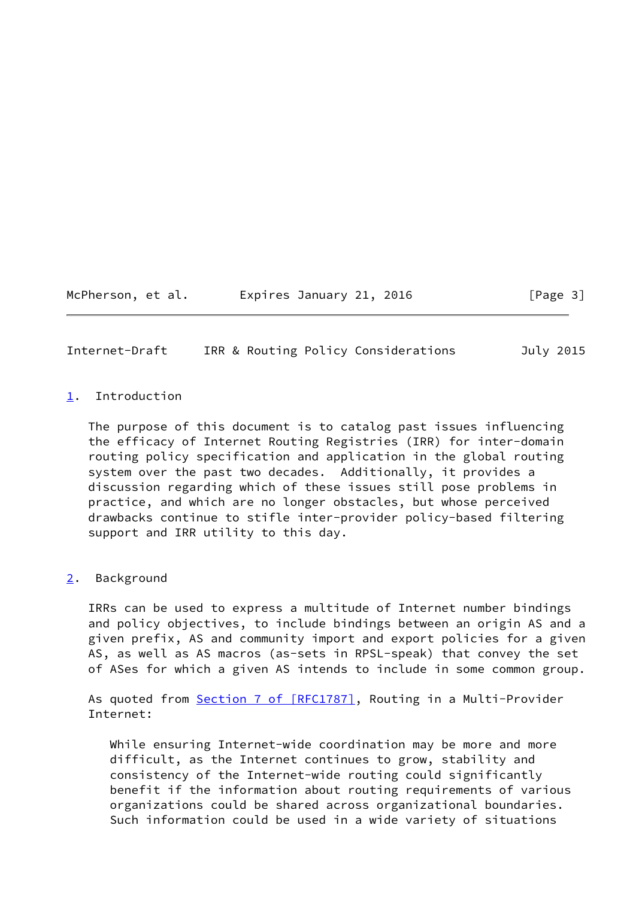### McPherson, et al. Expires January 21, 2016 [Page 3]

# <span id="page-3-1"></span>Internet-Draft IRR & Routing Policy Considerations July 2015

# <span id="page-3-0"></span>[1](#page-3-0). Introduction

 The purpose of this document is to catalog past issues influencing the efficacy of Internet Routing Registries (IRR) for inter-domain routing policy specification and application in the global routing system over the past two decades. Additionally, it provides a discussion regarding which of these issues still pose problems in practice, and which are no longer obstacles, but whose perceived drawbacks continue to stifle inter-provider policy-based filtering support and IRR utility to this day.

# <span id="page-3-2"></span>[2](#page-3-2). Background

 IRRs can be used to express a multitude of Internet number bindings and policy objectives, to include bindings between an origin AS and a given prefix, AS and community import and export policies for a given AS, as well as AS macros (as-sets in RPSL-speak) that convey the set of ASes for which a given AS intends to include in some common group.

As quoted from **Section [7 of \[RFC1787\]](https://datatracker.ietf.org/doc/pdf/rfc1787#section-7)**, Routing in a Multi-Provider Internet:

 While ensuring Internet-wide coordination may be more and more difficult, as the Internet continues to grow, stability and consistency of the Internet-wide routing could significantly benefit if the information about routing requirements of various organizations could be shared across organizational boundaries. Such information could be used in a wide variety of situations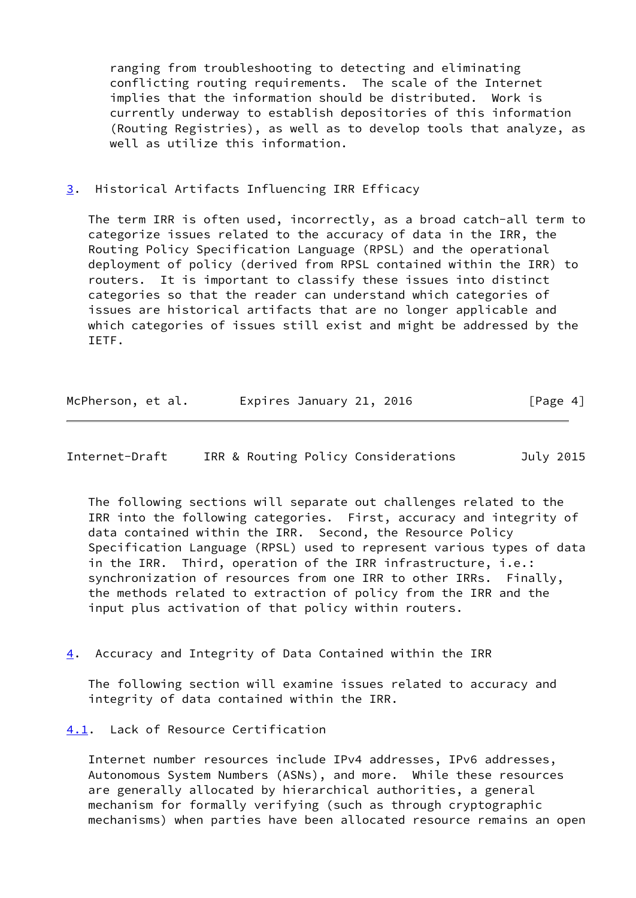ranging from troubleshooting to detecting and eliminating conflicting routing requirements. The scale of the Internet implies that the information should be distributed. Work is currently underway to establish depositories of this information (Routing Registries), as well as to develop tools that analyze, as well as utilize this information.

<span id="page-4-0"></span>[3](#page-4-0). Historical Artifacts Influencing IRR Efficacy

 The term IRR is often used, incorrectly, as a broad catch-all term to categorize issues related to the accuracy of data in the IRR, the Routing Policy Specification Language (RPSL) and the operational deployment of policy (derived from RPSL contained within the IRR) to routers. It is important to classify these issues into distinct categories so that the reader can understand which categories of issues are historical artifacts that are no longer applicable and which categories of issues still exist and might be addressed by the IETF.

| Expires January 21, 2016<br>McPherson, et al. | [Page 4] |
|-----------------------------------------------|----------|
|-----------------------------------------------|----------|

<span id="page-4-2"></span>Internet-Draft IRR & Routing Policy Considerations July 2015

 The following sections will separate out challenges related to the IRR into the following categories. First, accuracy and integrity of data contained within the IRR. Second, the Resource Policy Specification Language (RPSL) used to represent various types of data in the IRR. Third, operation of the IRR infrastructure, i.e.: synchronization of resources from one IRR to other IRRs. Finally, the methods related to extraction of policy from the IRR and the input plus activation of that policy within routers.

<span id="page-4-1"></span>[4](#page-4-1). Accuracy and Integrity of Data Contained within the IRR

 The following section will examine issues related to accuracy and integrity of data contained within the IRR.

<span id="page-4-3"></span>[4.1](#page-4-3). Lack of Resource Certification

 Internet number resources include IPv4 addresses, IPv6 addresses, Autonomous System Numbers (ASNs), and more. While these resources are generally allocated by hierarchical authorities, a general mechanism for formally verifying (such as through cryptographic mechanisms) when parties have been allocated resource remains an open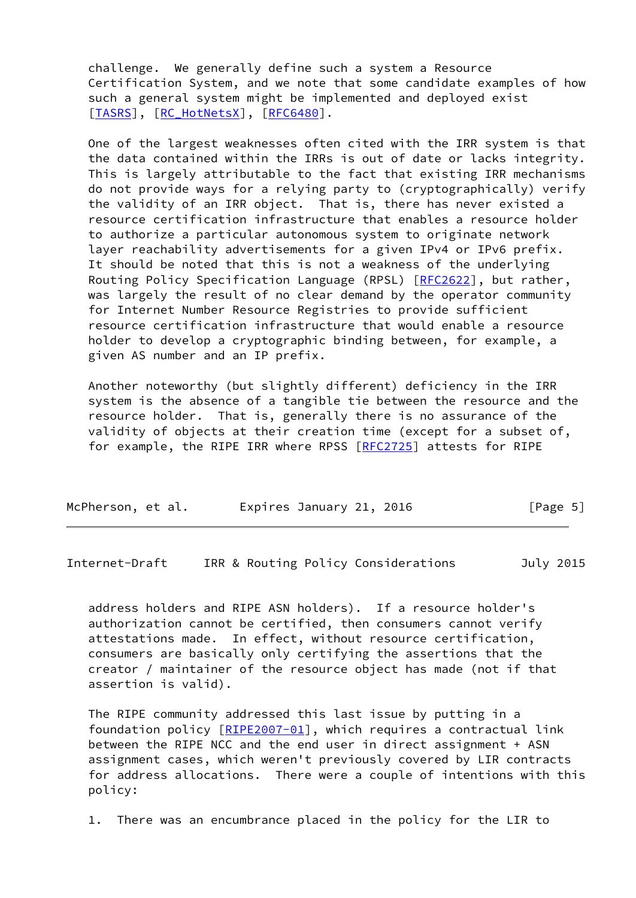challenge. We generally define such a system a Resource Certification System, and we note that some candidate examples of how such a general system might be implemented and deployed exist [\[TASRS](#page-20-1)], [RC HotNetsX], [\[RFC6480](https://datatracker.ietf.org/doc/pdf/rfc6480)].

 One of the largest weaknesses often cited with the IRR system is that the data contained within the IRRs is out of date or lacks integrity. This is largely attributable to the fact that existing IRR mechanisms do not provide ways for a relying party to (cryptographically) verify the validity of an IRR object. That is, there has never existed a resource certification infrastructure that enables a resource holder to authorize a particular autonomous system to originate network layer reachability advertisements for a given IPv4 or IPv6 prefix. It should be noted that this is not a weakness of the underlying Routing Policy Specification Language (RPSL) [\[RFC2622](https://datatracker.ietf.org/doc/pdf/rfc2622)], but rather, was largely the result of no clear demand by the operator community for Internet Number Resource Registries to provide sufficient resource certification infrastructure that would enable a resource holder to develop a cryptographic binding between, for example, a given AS number and an IP prefix.

 Another noteworthy (but slightly different) deficiency in the IRR system is the absence of a tangible tie between the resource and the resource holder. That is, generally there is no assurance of the validity of objects at their creation time (except for a subset of, for example, the RIPE IRR where RPSS [\[RFC2725](https://datatracker.ietf.org/doc/pdf/rfc2725)] attests for RIPE

| McPherson, et al. | Expires January 21, 2016 | [Page 5] |
|-------------------|--------------------------|----------|
|-------------------|--------------------------|----------|

<span id="page-5-0"></span>Internet-Draft IRR & Routing Policy Considerations July 2015

 address holders and RIPE ASN holders). If a resource holder's authorization cannot be certified, then consumers cannot verify attestations made. In effect, without resource certification, consumers are basically only certifying the assertions that the creator / maintainer of the resource object has made (not if that assertion is valid).

 The RIPE community addressed this last issue by putting in a foundation policy [[RIPE2007-01](#page-20-2)], which requires a contractual link between the RIPE NCC and the end user in direct assignment + ASN assignment cases, which weren't previously covered by LIR contracts for address allocations. There were a couple of intentions with this policy:

1. There was an encumbrance placed in the policy for the LIR to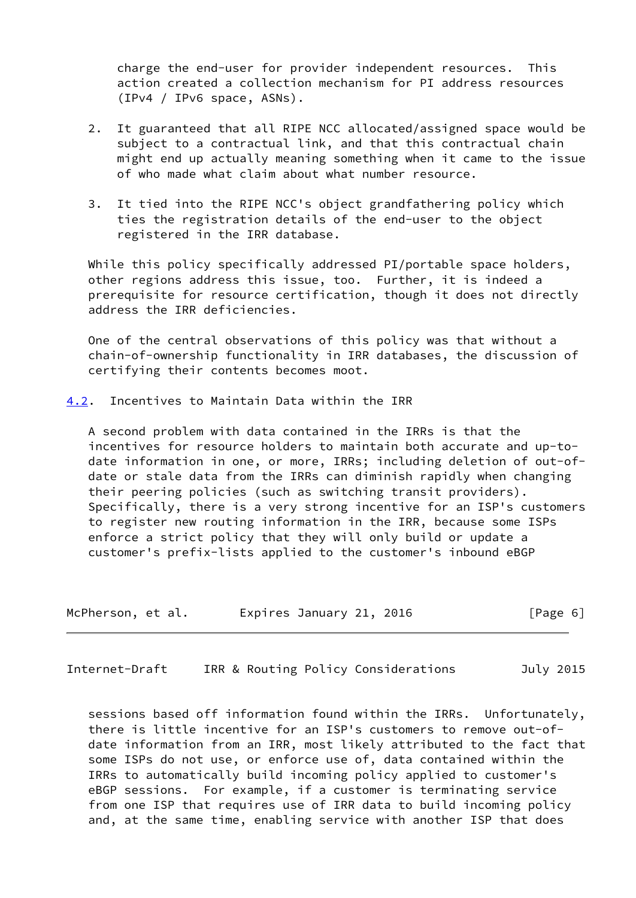charge the end-user for provider independent resources. This action created a collection mechanism for PI address resources (IPv4 / IPv6 space, ASNs).

- 2. It guaranteed that all RIPE NCC allocated/assigned space would be subject to a contractual link, and that this contractual chain might end up actually meaning something when it came to the issue of who made what claim about what number resource.
- 3. It tied into the RIPE NCC's object grandfathering policy which ties the registration details of the end-user to the object registered in the IRR database.

 While this policy specifically addressed PI/portable space holders, other regions address this issue, too. Further, it is indeed a prerequisite for resource certification, though it does not directly address the IRR deficiencies.

 One of the central observations of this policy was that without a chain-of-ownership functionality in IRR databases, the discussion of certifying their contents becomes moot.

<span id="page-6-0"></span>[4.2](#page-6-0). Incentives to Maintain Data within the IRR

 A second problem with data contained in the IRRs is that the incentives for resource holders to maintain both accurate and up-to date information in one, or more, IRRs; including deletion of out-of date or stale data from the IRRs can diminish rapidly when changing their peering policies (such as switching transit providers). Specifically, there is a very strong incentive for an ISP's customers to register new routing information in the IRR, because some ISPs enforce a strict policy that they will only build or update a customer's prefix-lists applied to the customer's inbound eBGP

| McPherson, et al. | Expires January 21, 2016 | [Page 6] |
|-------------------|--------------------------|----------|
|-------------------|--------------------------|----------|

<span id="page-6-1"></span>Internet-Draft IRR & Routing Policy Considerations July 2015

 sessions based off information found within the IRRs. Unfortunately, there is little incentive for an ISP's customers to remove out-of date information from an IRR, most likely attributed to the fact that some ISPs do not use, or enforce use of, data contained within the IRRs to automatically build incoming policy applied to customer's eBGP sessions. For example, if a customer is terminating service from one ISP that requires use of IRR data to build incoming policy and, at the same time, enabling service with another ISP that does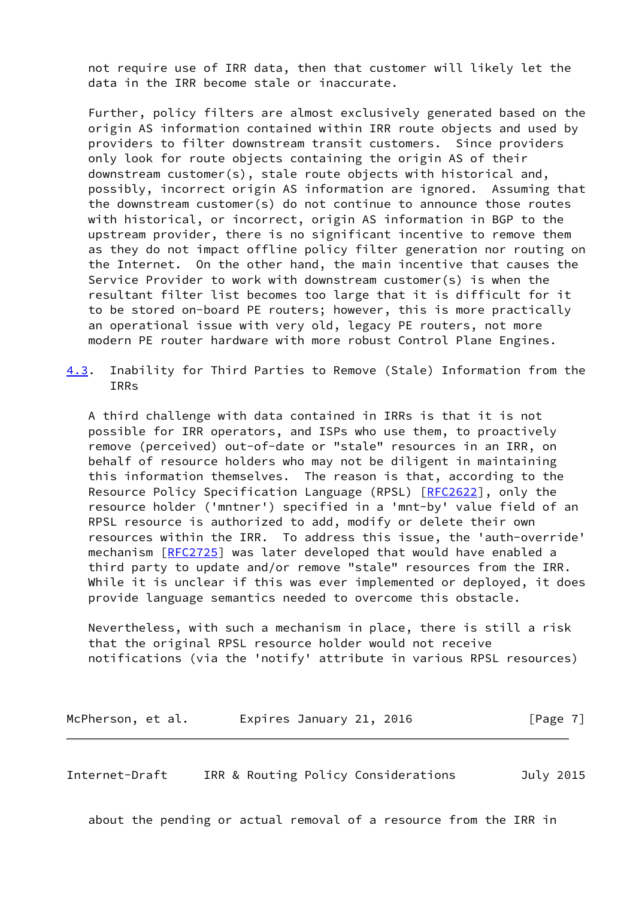not require use of IRR data, then that customer will likely let the data in the IRR become stale or inaccurate.

 Further, policy filters are almost exclusively generated based on the origin AS information contained within IRR route objects and used by providers to filter downstream transit customers. Since providers only look for route objects containing the origin AS of their downstream customer(s), stale route objects with historical and, possibly, incorrect origin AS information are ignored. Assuming that the downstream customer(s) do not continue to announce those routes with historical, or incorrect, origin AS information in BGP to the upstream provider, there is no significant incentive to remove them as they do not impact offline policy filter generation nor routing on the Internet. On the other hand, the main incentive that causes the Service Provider to work with downstream customer(s) is when the resultant filter list becomes too large that it is difficult for it to be stored on-board PE routers; however, this is more practically an operational issue with very old, legacy PE routers, not more modern PE router hardware with more robust Control Plane Engines.

<span id="page-7-1"></span>[4.3](#page-7-1). Inability for Third Parties to Remove (Stale) Information from the IRRs

 A third challenge with data contained in IRRs is that it is not possible for IRR operators, and ISPs who use them, to proactively remove (perceived) out-of-date or "stale" resources in an IRR, on behalf of resource holders who may not be diligent in maintaining this information themselves. The reason is that, according to the Resource Policy Specification Language (RPSL) [[RFC2622](https://datatracker.ietf.org/doc/pdf/rfc2622)], only the resource holder ('mntner') specified in a 'mnt-by' value field of an RPSL resource is authorized to add, modify or delete their own resources within the IRR. To address this issue, the 'auth-override' mechanism [[RFC2725](https://datatracker.ietf.org/doc/pdf/rfc2725)] was later developed that would have enabled a third party to update and/or remove "stale" resources from the IRR. While it is unclear if this was ever implemented or deployed, it does provide language semantics needed to overcome this obstacle.

 Nevertheless, with such a mechanism in place, there is still a risk that the original RPSL resource holder would not receive notifications (via the 'notify' attribute in various RPSL resources)

McPherson, et al. Expires January 21, 2016 [Page 7]

<span id="page-7-0"></span>Internet-Draft IRR & Routing Policy Considerations July 2015

about the pending or actual removal of a resource from the IRR in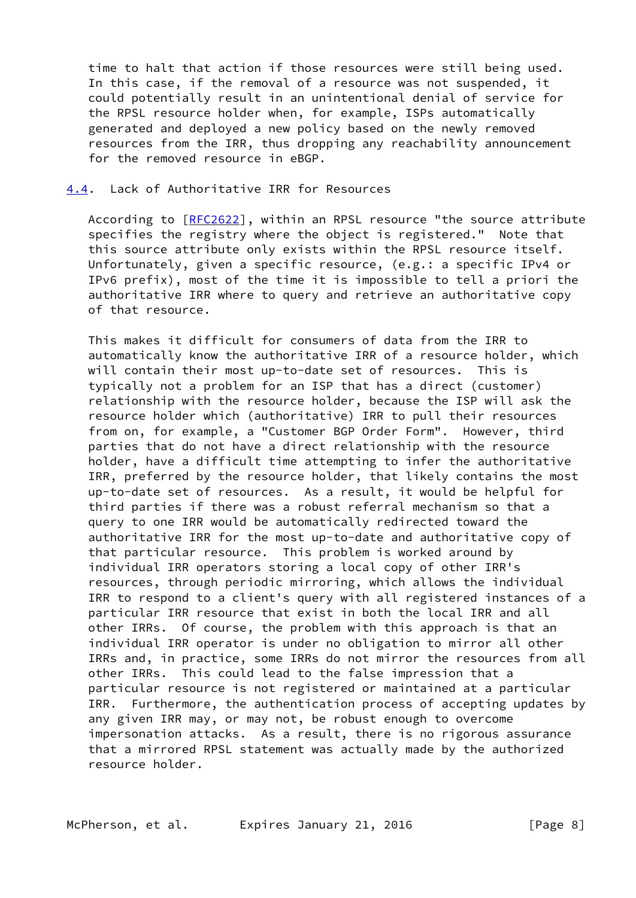time to halt that action if those resources were still being used. In this case, if the removal of a resource was not suspended, it could potentially result in an unintentional denial of service for the RPSL resource holder when, for example, ISPs automatically generated and deployed a new policy based on the newly removed resources from the IRR, thus dropping any reachability announcement for the removed resource in eBGP.

#### <span id="page-8-0"></span>[4.4](#page-8-0). Lack of Authoritative IRR for Resources

According to  $[REC2622]$ , within an RPSL resource "the source attribute specifies the registry where the object is registered." Note that this source attribute only exists within the RPSL resource itself. Unfortunately, given a specific resource, (e.g.: a specific IPv4 or IPv6 prefix), most of the time it is impossible to tell a priori the authoritative IRR where to query and retrieve an authoritative copy of that resource.

 This makes it difficult for consumers of data from the IRR to automatically know the authoritative IRR of a resource holder, which will contain their most up-to-date set of resources. This is typically not a problem for an ISP that has a direct (customer) relationship with the resource holder, because the ISP will ask the resource holder which (authoritative) IRR to pull their resources from on, for example, a "Customer BGP Order Form". However, third parties that do not have a direct relationship with the resource holder, have a difficult time attempting to infer the authoritative IRR, preferred by the resource holder, that likely contains the most up-to-date set of resources. As a result, it would be helpful for third parties if there was a robust referral mechanism so that a query to one IRR would be automatically redirected toward the authoritative IRR for the most up-to-date and authoritative copy of that particular resource. This problem is worked around by individual IRR operators storing a local copy of other IRR's resources, through periodic mirroring, which allows the individual IRR to respond to a client's query with all registered instances of a particular IRR resource that exist in both the local IRR and all other IRRs. Of course, the problem with this approach is that an individual IRR operator is under no obligation to mirror all other IRRs and, in practice, some IRRs do not mirror the resources from all other IRRs. This could lead to the false impression that a particular resource is not registered or maintained at a particular IRR. Furthermore, the authentication process of accepting updates by any given IRR may, or may not, be robust enough to overcome impersonation attacks. As a result, there is no rigorous assurance that a mirrored RPSL statement was actually made by the authorized resource holder.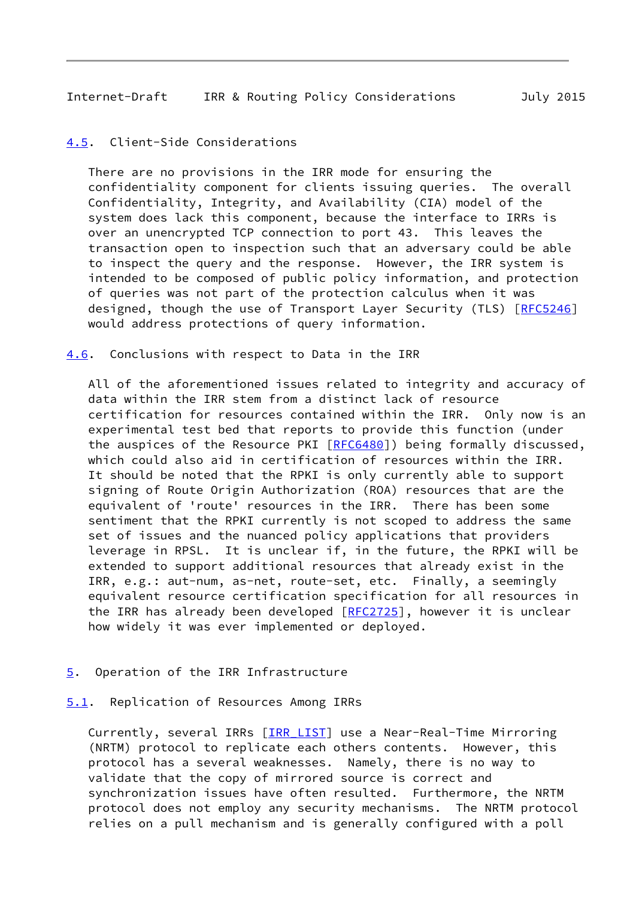# <span id="page-9-1"></span><span id="page-9-0"></span>[4.5](#page-9-0). Client-Side Considerations

 There are no provisions in the IRR mode for ensuring the confidentiality component for clients issuing queries. The overall Confidentiality, Integrity, and Availability (CIA) model of the system does lack this component, because the interface to IRRs is over an unencrypted TCP connection to port 43. This leaves the transaction open to inspection such that an adversary could be able to inspect the query and the response. However, the IRR system is intended to be composed of public policy information, and protection of queries was not part of the protection calculus when it was designed, though the use of Transport Layer Security (TLS) [[RFC5246\]](https://datatracker.ietf.org/doc/pdf/rfc5246) would address protections of query information.

<span id="page-9-2"></span>[4.6](#page-9-2). Conclusions with respect to Data in the IRR

 All of the aforementioned issues related to integrity and accuracy of data within the IRR stem from a distinct lack of resource certification for resources contained within the IRR. Only now is an experimental test bed that reports to provide this function (under the auspices of the Resource PKI [\[RFC6480](https://datatracker.ietf.org/doc/pdf/rfc6480)]) being formally discussed, which could also aid in certification of resources within the IRR. It should be noted that the RPKI is only currently able to support signing of Route Origin Authorization (ROA) resources that are the equivalent of 'route' resources in the IRR. There has been some sentiment that the RPKI currently is not scoped to address the same set of issues and the nuanced policy applications that providers leverage in RPSL. It is unclear if, in the future, the RPKI will be extended to support additional resources that already exist in the IRR, e.g.: aut-num, as-net, route-set, etc. Finally, a seemingly equivalent resource certification specification for all resources in the IRR has already been developed [[RFC2725\]](https://datatracker.ietf.org/doc/pdf/rfc2725), however it is unclear how widely it was ever implemented or deployed.

#### <span id="page-9-3"></span>[5](#page-9-3). Operation of the IRR Infrastructure

## <span id="page-9-4"></span>[5.1](#page-9-4). Replication of Resources Among IRRs

 Currently, several IRRs [\[IRR\\_LIST](#page-18-5)] use a Near-Real-Time Mirroring (NRTM) protocol to replicate each others contents. However, this protocol has a several weaknesses. Namely, there is no way to validate that the copy of mirrored source is correct and synchronization issues have often resulted. Furthermore, the NRTM protocol does not employ any security mechanisms. The NRTM protocol relies on a pull mechanism and is generally configured with a poll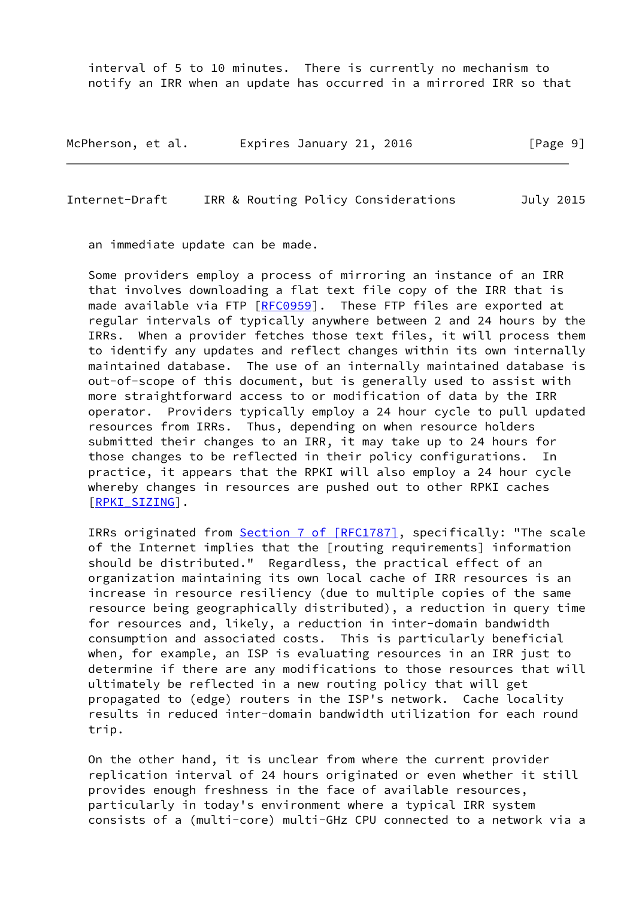interval of 5 to 10 minutes. There is currently no mechanism to notify an IRR when an update has occurred in a mirrored IRR so that

McPherson, et al. Expires January 21, 2016 [Page 9]

Internet-Draft IRR & Routing Policy Considerations July 2015

an immediate update can be made.

 Some providers employ a process of mirroring an instance of an IRR that involves downloading a flat text file copy of the IRR that is made available via FTP [\[RFC0959](https://datatracker.ietf.org/doc/pdf/rfc0959)]. These FTP files are exported at regular intervals of typically anywhere between 2 and 24 hours by the IRRs. When a provider fetches those text files, it will process them to identify any updates and reflect changes within its own internally maintained database. The use of an internally maintained database is out-of-scope of this document, but is generally used to assist with more straightforward access to or modification of data by the IRR operator. Providers typically employ a 24 hour cycle to pull updated resources from IRRs. Thus, depending on when resource holders submitted their changes to an IRR, it may take up to 24 hours for those changes to be reflected in their policy configurations. In practice, it appears that the RPKI will also employ a 24 hour cycle whereby changes in resources are pushed out to other RPKI caches [\[RPKI\\_SIZING](#page-20-3)].

IRRs originated from **Section [7 of \[RFC1787\]](https://datatracker.ietf.org/doc/pdf/rfc1787#section-7)**, specifically: "The scale of the Internet implies that the [routing requirements] information should be distributed." Regardless, the practical effect of an organization maintaining its own local cache of IRR resources is an increase in resource resiliency (due to multiple copies of the same resource being geographically distributed), a reduction in query time for resources and, likely, a reduction in inter-domain bandwidth consumption and associated costs. This is particularly beneficial when, for example, an ISP is evaluating resources in an IRR just to determine if there are any modifications to those resources that will ultimately be reflected in a new routing policy that will get propagated to (edge) routers in the ISP's network. Cache locality results in reduced inter-domain bandwidth utilization for each round trip.

 On the other hand, it is unclear from where the current provider replication interval of 24 hours originated or even whether it still provides enough freshness in the face of available resources, particularly in today's environment where a typical IRR system consists of a (multi-core) multi-GHz CPU connected to a network via a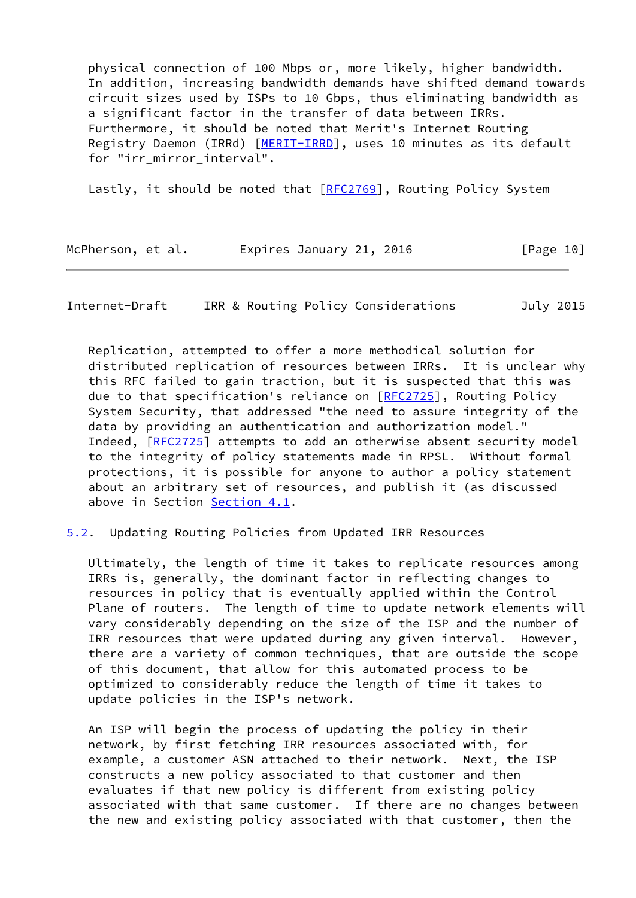physical connection of 100 Mbps or, more likely, higher bandwidth. In addition, increasing bandwidth demands have shifted demand towards circuit sizes used by ISPs to 10 Gbps, thus eliminating bandwidth as a significant factor in the transfer of data between IRRs. Furthermore, it should be noted that Merit's Internet Routing Registry Daemon (IRRd) [\[MERIT-IRRD](#page-18-6)], uses 10 minutes as its default for "irr\_mirror\_interval".

Lastly, it should be noted that [\[RFC2769](https://datatracker.ietf.org/doc/pdf/rfc2769)], Routing Policy System

| McPherson, et al. | Expires January 21, 2016 | [Page 10] |
|-------------------|--------------------------|-----------|
|-------------------|--------------------------|-----------|

<span id="page-11-1"></span>Internet-Draft IRR & Routing Policy Considerations July 2015

 Replication, attempted to offer a more methodical solution for distributed replication of resources between IRRs. It is unclear why this RFC failed to gain traction, but it is suspected that this was due to that specification's reliance on [\[RFC2725](https://datatracker.ietf.org/doc/pdf/rfc2725)], Routing Policy System Security, that addressed "the need to assure integrity of the data by providing an authentication and authorization model." Indeed, [\[RFC2725](https://datatracker.ietf.org/doc/pdf/rfc2725)] attempts to add an otherwise absent security model to the integrity of policy statements made in RPSL. Without formal protections, it is possible for anyone to author a policy statement about an arbitrary set of resources, and publish it (as discussed above in Section [Section 4.1](#page-4-3).

<span id="page-11-0"></span>[5.2](#page-11-0). Updating Routing Policies from Updated IRR Resources

 Ultimately, the length of time it takes to replicate resources among IRRs is, generally, the dominant factor in reflecting changes to resources in policy that is eventually applied within the Control Plane of routers. The length of time to update network elements will vary considerably depending on the size of the ISP and the number of IRR resources that were updated during any given interval. However, there are a variety of common techniques, that are outside the scope of this document, that allow for this automated process to be optimized to considerably reduce the length of time it takes to update policies in the ISP's network.

 An ISP will begin the process of updating the policy in their network, by first fetching IRR resources associated with, for example, a customer ASN attached to their network. Next, the ISP constructs a new policy associated to that customer and then evaluates if that new policy is different from existing policy associated with that same customer. If there are no changes between the new and existing policy associated with that customer, then the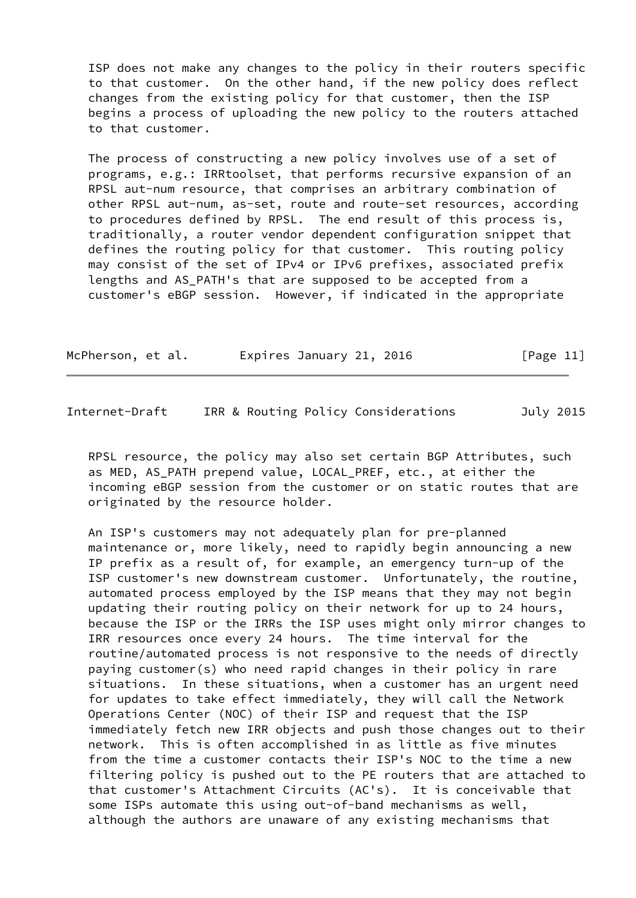ISP does not make any changes to the policy in their routers specific to that customer. On the other hand, if the new policy does reflect changes from the existing policy for that customer, then the ISP begins a process of uploading the new policy to the routers attached to that customer.

 The process of constructing a new policy involves use of a set of programs, e.g.: IRRtoolset, that performs recursive expansion of an RPSL aut-num resource, that comprises an arbitrary combination of other RPSL aut-num, as-set, route and route-set resources, according to procedures defined by RPSL. The end result of this process is, traditionally, a router vendor dependent configuration snippet that defines the routing policy for that customer. This routing policy may consist of the set of IPv4 or IPv6 prefixes, associated prefix lengths and AS\_PATH's that are supposed to be accepted from a customer's eBGP session. However, if indicated in the appropriate

| McPherson, et al. | Expires January 21, 2016 | [Page 11] |
|-------------------|--------------------------|-----------|
|-------------------|--------------------------|-----------|

<span id="page-12-0"></span>Internet-Draft IRR & Routing Policy Considerations July 2015

 RPSL resource, the policy may also set certain BGP Attributes, such as MED, AS\_PATH prepend value, LOCAL\_PREF, etc., at either the incoming eBGP session from the customer or on static routes that are originated by the resource holder.

 An ISP's customers may not adequately plan for pre-planned maintenance or, more likely, need to rapidly begin announcing a new IP prefix as a result of, for example, an emergency turn-up of the ISP customer's new downstream customer. Unfortunately, the routine, automated process employed by the ISP means that they may not begin updating their routing policy on their network for up to 24 hours, because the ISP or the IRRs the ISP uses might only mirror changes to IRR resources once every 24 hours. The time interval for the routine/automated process is not responsive to the needs of directly paying customer(s) who need rapid changes in their policy in rare situations. In these situations, when a customer has an urgent need for updates to take effect immediately, they will call the Network Operations Center (NOC) of their ISP and request that the ISP immediately fetch new IRR objects and push those changes out to their network. This is often accomplished in as little as five minutes from the time a customer contacts their ISP's NOC to the time a new filtering policy is pushed out to the PE routers that are attached to that customer's Attachment Circuits (AC's). It is conceivable that some ISPs automate this using out-of-band mechanisms as well, although the authors are unaware of any existing mechanisms that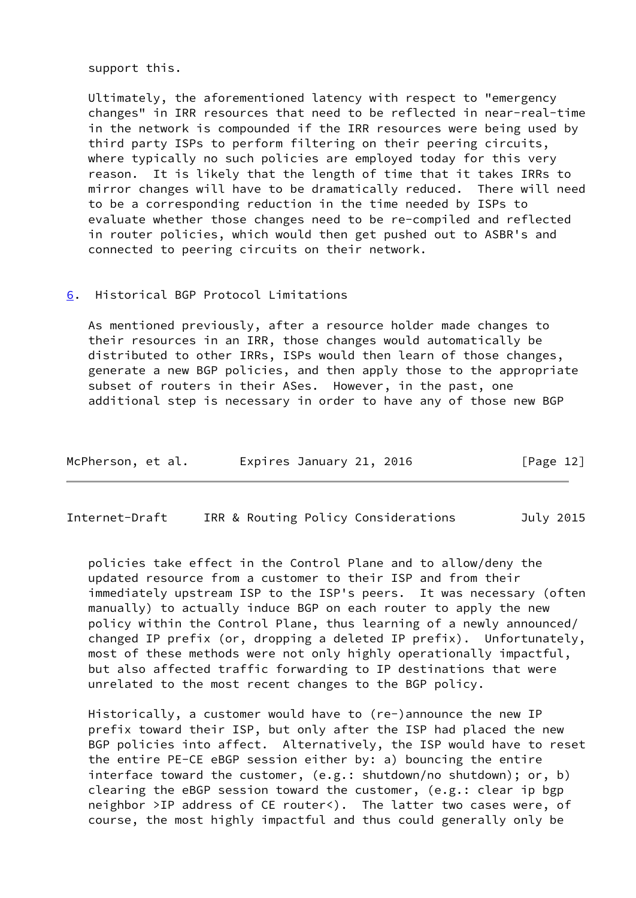support this.

 Ultimately, the aforementioned latency with respect to "emergency changes" in IRR resources that need to be reflected in near-real-time in the network is compounded if the IRR resources were being used by third party ISPs to perform filtering on their peering circuits, where typically no such policies are employed today for this very reason. It is likely that the length of time that it takes IRRs to mirror changes will have to be dramatically reduced. There will need to be a corresponding reduction in the time needed by ISPs to evaluate whether those changes need to be re-compiled and reflected in router policies, which would then get pushed out to ASBR's and connected to peering circuits on their network.

#### <span id="page-13-0"></span>[6](#page-13-0). Historical BGP Protocol Limitations

 As mentioned previously, after a resource holder made changes to their resources in an IRR, those changes would automatically be distributed to other IRRs, ISPs would then learn of those changes, generate a new BGP policies, and then apply those to the appropriate subset of routers in their ASes. However, in the past, one additional step is necessary in order to have any of those new BGP

| McPherson, et al. | Expires January 21, 2016 | [Page 12] |
|-------------------|--------------------------|-----------|
|-------------------|--------------------------|-----------|

Internet-Draft IRR & Routing Policy Considerations July 2015

 policies take effect in the Control Plane and to allow/deny the updated resource from a customer to their ISP and from their immediately upstream ISP to the ISP's peers. It was necessary (often manually) to actually induce BGP on each router to apply the new policy within the Control Plane, thus learning of a newly announced/ changed IP prefix (or, dropping a deleted IP prefix). Unfortunately, most of these methods were not only highly operationally impactful, but also affected traffic forwarding to IP destinations that were unrelated to the most recent changes to the BGP policy.

 Historically, a customer would have to (re-)announce the new IP prefix toward their ISP, but only after the ISP had placed the new BGP policies into affect. Alternatively, the ISP would have to reset the entire PE-CE eBGP session either by: a) bouncing the entire interface toward the customer, (e.g.: shutdown/no shutdown); or, b) clearing the eBGP session toward the customer, (e.g.: clear ip bgp neighbor >IP address of CE router<). The latter two cases were, of course, the most highly impactful and thus could generally only be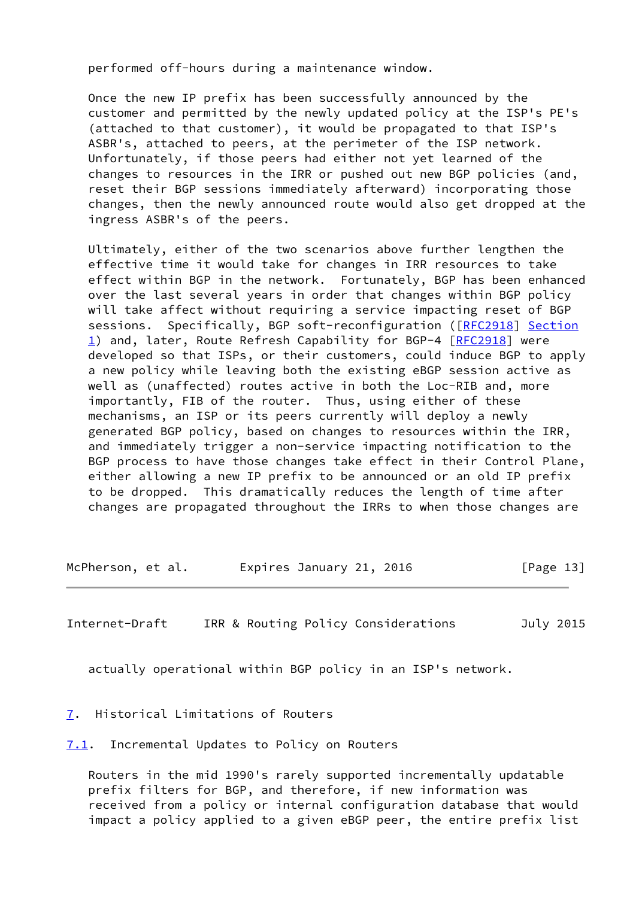performed off-hours during a maintenance window.

 Once the new IP prefix has been successfully announced by the customer and permitted by the newly updated policy at the ISP's PE's (attached to that customer), it would be propagated to that ISP's ASBR's, attached to peers, at the perimeter of the ISP network. Unfortunately, if those peers had either not yet learned of the changes to resources in the IRR or pushed out new BGP policies (and, reset their BGP sessions immediately afterward) incorporating those changes, then the newly announced route would also get dropped at the ingress ASBR's of the peers.

 Ultimately, either of the two scenarios above further lengthen the effective time it would take for changes in IRR resources to take effect within BGP in the network. Fortunately, BGP has been enhanced over the last several years in order that changes within BGP policy will take affect without requiring a service impacting reset of BGP sessions. Specifically, BGP soft-reconfiguration ([[RFC2918\]](https://datatracker.ietf.org/doc/pdf/rfc2918) [Section](#page-3-0) [1](#page-3-0)) and, later, Route Refresh Capability for BGP-4 [[RFC2918](https://datatracker.ietf.org/doc/pdf/rfc2918)] were developed so that ISPs, or their customers, could induce BGP to apply a new policy while leaving both the existing eBGP session active as well as (unaffected) routes active in both the Loc-RIB and, more importantly, FIB of the router. Thus, using either of these mechanisms, an ISP or its peers currently will deploy a newly generated BGP policy, based on changes to resources within the IRR, and immediately trigger a non-service impacting notification to the BGP process to have those changes take effect in their Control Plane, either allowing a new IP prefix to be announced or an old IP prefix to be dropped. This dramatically reduces the length of time after changes are propagated throughout the IRRs to when those changes are

McPherson, et al. Expires January 21, 2016 [Page 13]

<span id="page-14-1"></span>Internet-Draft IRR & Routing Policy Considerations July 2015

actually operational within BGP policy in an ISP's network.

### <span id="page-14-0"></span>[7](#page-14-0). Historical Limitations of Routers

<span id="page-14-2"></span>[7.1](#page-14-2). Incremental Updates to Policy on Routers

 Routers in the mid 1990's rarely supported incrementally updatable prefix filters for BGP, and therefore, if new information was received from a policy or internal configuration database that would impact a policy applied to a given eBGP peer, the entire prefix list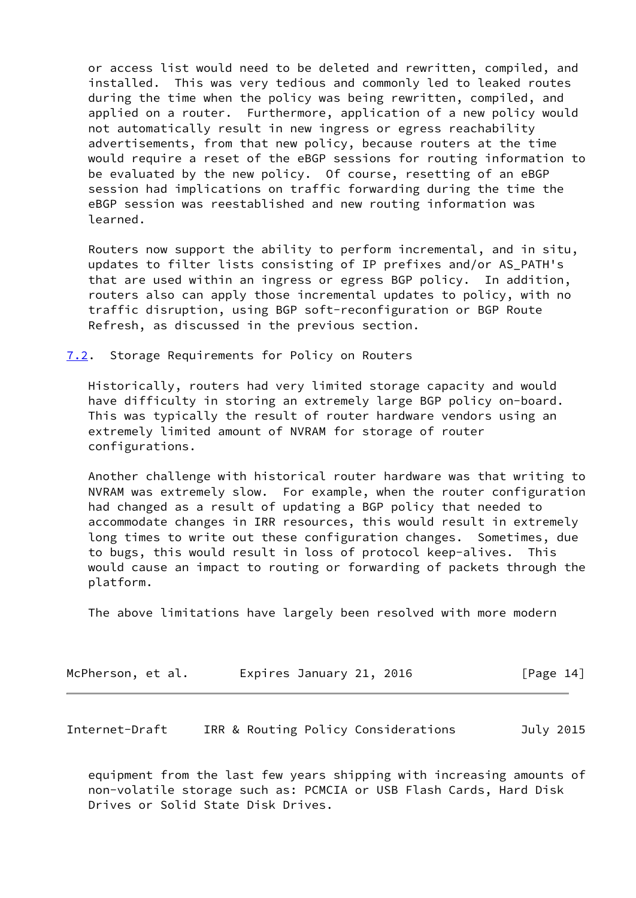or access list would need to be deleted and rewritten, compiled, and installed. This was very tedious and commonly led to leaked routes during the time when the policy was being rewritten, compiled, and applied on a router. Furthermore, application of a new policy would not automatically result in new ingress or egress reachability advertisements, from that new policy, because routers at the time would require a reset of the eBGP sessions for routing information to be evaluated by the new policy. Of course, resetting of an eBGP session had implications on traffic forwarding during the time the eBGP session was reestablished and new routing information was learned.

 Routers now support the ability to perform incremental, and in situ, updates to filter lists consisting of IP prefixes and/or AS\_PATH's that are used within an ingress or egress BGP policy. In addition, routers also can apply those incremental updates to policy, with no traffic disruption, using BGP soft-reconfiguration or BGP Route Refresh, as discussed in the previous section.

<span id="page-15-0"></span>[7.2](#page-15-0). Storage Requirements for Policy on Routers

 Historically, routers had very limited storage capacity and would have difficulty in storing an extremely large BGP policy on-board. This was typically the result of router hardware vendors using an extremely limited amount of NVRAM for storage of router configurations.

 Another challenge with historical router hardware was that writing to NVRAM was extremely slow. For example, when the router configuration had changed as a result of updating a BGP policy that needed to accommodate changes in IRR resources, this would result in extremely long times to write out these configuration changes. Sometimes, due to bugs, this would result in loss of protocol keep-alives. This would cause an impact to routing or forwarding of packets through the platform.

The above limitations have largely been resolved with more modern

| McPherson, et al. | Expires January 21, 2016 | [Page 14] |
|-------------------|--------------------------|-----------|
|-------------------|--------------------------|-----------|

<span id="page-15-1"></span>Internet-Draft IRR & Routing Policy Considerations July 2015

 equipment from the last few years shipping with increasing amounts of non-volatile storage such as: PCMCIA or USB Flash Cards, Hard Disk Drives or Solid State Disk Drives.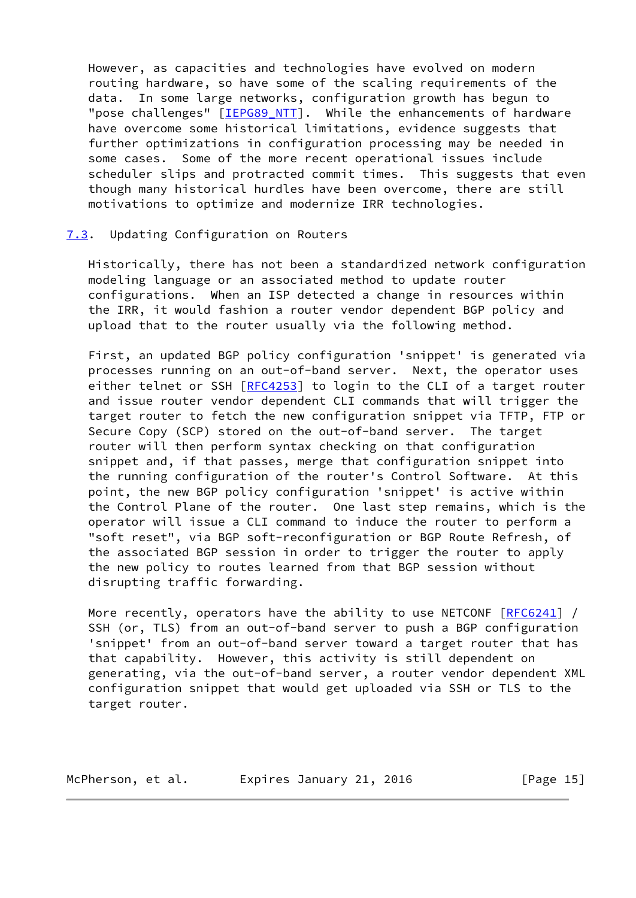However, as capacities and technologies have evolved on modern routing hardware, so have some of the scaling requirements of the data. In some large networks, configuration growth has begun to "pose challenges" [IEPG89 NTT]. While the enhancements of hardware have overcome some historical limitations, evidence suggests that further optimizations in configuration processing may be needed in some cases. Some of the more recent operational issues include scheduler slips and protracted commit times. This suggests that even though many historical hurdles have been overcome, there are still motivations to optimize and modernize IRR technologies.

### <span id="page-16-0"></span>[7.3](#page-16-0). Updating Configuration on Routers

 Historically, there has not been a standardized network configuration modeling language or an associated method to update router configurations. When an ISP detected a change in resources within the IRR, it would fashion a router vendor dependent BGP policy and upload that to the router usually via the following method.

 First, an updated BGP policy configuration 'snippet' is generated via processes running on an out-of-band server. Next, the operator uses either telnet or SSH  $[RECA253]$  to login to the CLI of a target router and issue router vendor dependent CLI commands that will trigger the target router to fetch the new configuration snippet via TFTP, FTP or Secure Copy (SCP) stored on the out-of-band server. The target router will then perform syntax checking on that configuration snippet and, if that passes, merge that configuration snippet into the running configuration of the router's Control Software. At this point, the new BGP policy configuration 'snippet' is active within the Control Plane of the router. One last step remains, which is the operator will issue a CLI command to induce the router to perform a "soft reset", via BGP soft-reconfiguration or BGP Route Refresh, of the associated BGP session in order to trigger the router to apply the new policy to routes learned from that BGP session without disrupting traffic forwarding.

More recently, operators have the ability to use NETCONF [\[RFC6241](https://datatracker.ietf.org/doc/pdf/rfc6241)] / SSH (or, TLS) from an out-of-band server to push a BGP configuration 'snippet' from an out-of-band server toward a target router that has that capability. However, this activity is still dependent on generating, via the out-of-band server, a router vendor dependent XML configuration snippet that would get uploaded via SSH or TLS to the target router.

McPherson, et al. Expires January 21, 2016 [Page 15]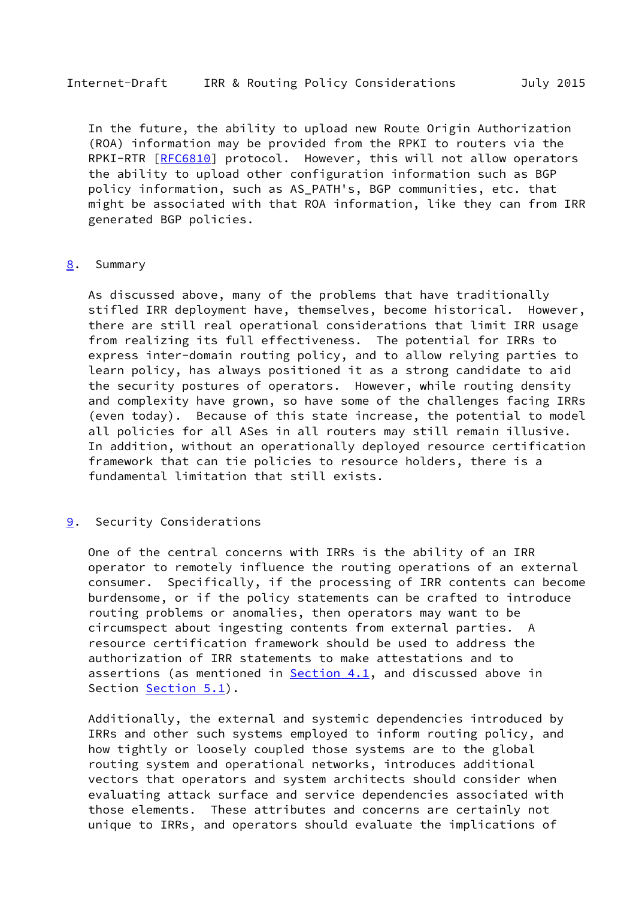<span id="page-17-1"></span> In the future, the ability to upload new Route Origin Authorization (ROA) information may be provided from the RPKI to routers via the RPKI-RTR [\[RFC6810](https://datatracker.ietf.org/doc/pdf/rfc6810)] protocol. However, this will not allow operators the ability to upload other configuration information such as BGP policy information, such as AS\_PATH's, BGP communities, etc. that might be associated with that ROA information, like they can from IRR generated BGP policies.

### <span id="page-17-0"></span>[8](#page-17-0). Summary

 As discussed above, many of the problems that have traditionally stifled IRR deployment have, themselves, become historical. However, there are still real operational considerations that limit IRR usage from realizing its full effectiveness. The potential for IRRs to express inter-domain routing policy, and to allow relying parties to learn policy, has always positioned it as a strong candidate to aid the security postures of operators. However, while routing density and complexity have grown, so have some of the challenges facing IRRs (even today). Because of this state increase, the potential to model all policies for all ASes in all routers may still remain illusive. In addition, without an operationally deployed resource certification framework that can tie policies to resource holders, there is a fundamental limitation that still exists.

# <span id="page-17-2"></span>[9](#page-17-2). Security Considerations

 One of the central concerns with IRRs is the ability of an IRR operator to remotely influence the routing operations of an external consumer. Specifically, if the processing of IRR contents can become burdensome, or if the policy statements can be crafted to introduce routing problems or anomalies, then operators may want to be circumspect about ingesting contents from external parties. A resource certification framework should be used to address the authorization of IRR statements to make attestations and to assertions (as mentioned in [Section 4.1,](#page-4-3) and discussed above in Section [Section 5.1](#page-9-4)).

 Additionally, the external and systemic dependencies introduced by IRRs and other such systems employed to inform routing policy, and how tightly or loosely coupled those systems are to the global routing system and operational networks, introduces additional vectors that operators and system architects should consider when evaluating attack surface and service dependencies associated with those elements. These attributes and concerns are certainly not unique to IRRs, and operators should evaluate the implications of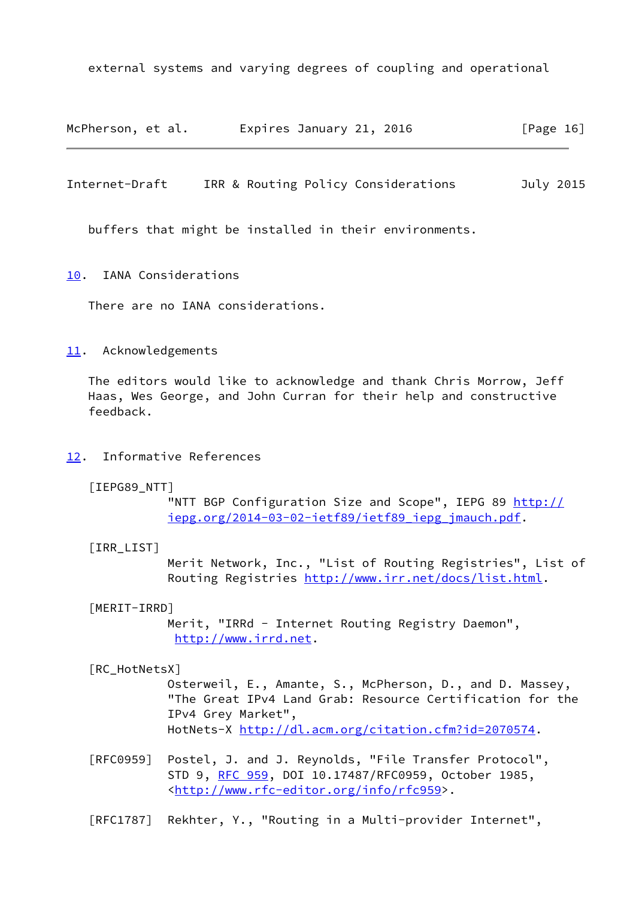external systems and varying degrees of coupling and operational

| McPherson, et al. | Expires January 21, 2016 | [Page 16] |
|-------------------|--------------------------|-----------|
|-------------------|--------------------------|-----------|

<span id="page-18-1"></span>Internet-Draft IRR & Routing Policy Considerations July 2015

buffers that might be installed in their environments.

<span id="page-18-0"></span>[10.](#page-18-0) IANA Considerations

There are no IANA considerations.

# <span id="page-18-2"></span>[11.](#page-18-2) Acknowledgements

 The editors would like to acknowledge and thank Chris Morrow, Jeff Haas, Wes George, and John Curran for their help and constructive feedback.

### <span id="page-18-3"></span>[12.](#page-18-3) Informative References

<span id="page-18-7"></span>[IEPG89\_NTT]

"NTT BGP Configuration Size and Scope", IEPG 89 [http://](http://iepg.org/2014-03-02-ietf89/ietf89_iepg_jmauch.pdf) [iepg.org/2014-03-02-ietf89/ietf89\\_iepg\\_jmauch.pdf.](http://iepg.org/2014-03-02-ietf89/ietf89_iepg_jmauch.pdf)

#### <span id="page-18-5"></span>[IRR\_LIST]

 Merit Network, Inc., "List of Routing Registries", List of Routing Registries [http://www.irr.net/docs/list.html.](http://www.irr.net/docs/list.html)

#### <span id="page-18-6"></span>[MERIT-IRRD]

 Merit, "IRRd - Internet Routing Registry Daemon", [http://www.irrd.net.](http://www.irrd.net)

#### <span id="page-18-4"></span>[RC\_HotNetsX]

 Osterweil, E., Amante, S., McPherson, D., and D. Massey, "The Great IPv4 Land Grab: Resource Certification for the IPv4 Grey Market", HotNets-X<http://dl.acm.org/citation.cfm?id=2070574>.

- [RFC0959] Postel, J. and J. Reynolds, "File Transfer Protocol", STD 9, [RFC 959](https://datatracker.ietf.org/doc/pdf/rfc959), DOI 10.17487/RFC0959, October 1985, <[http://www.rfc-editor.org/info/rfc959>](http://www.rfc-editor.org/info/rfc959).
- [RFC1787] Rekhter, Y., "Routing in a Multi-provider Internet",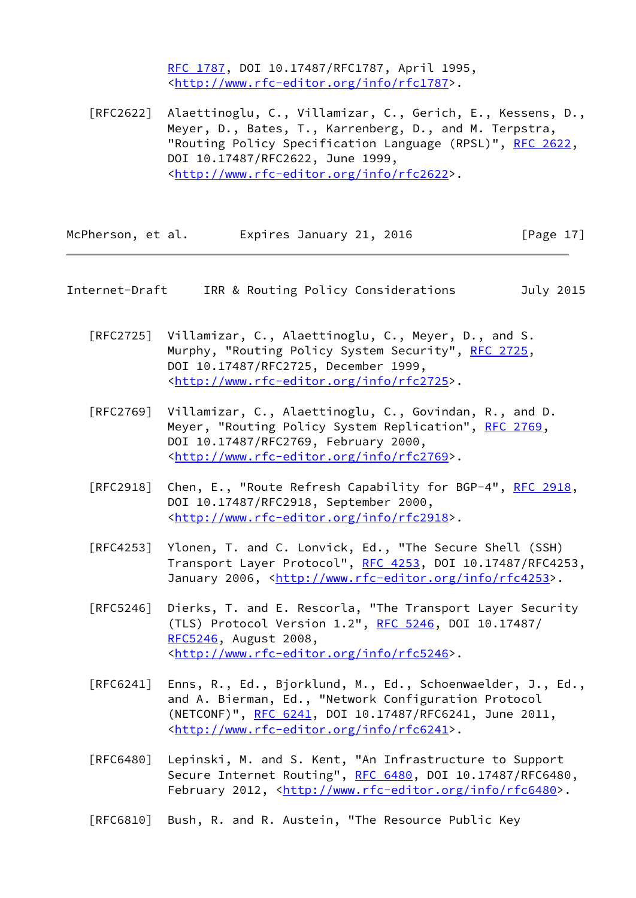[RFC 1787,](https://datatracker.ietf.org/doc/pdf/rfc1787) DOI 10.17487/RFC1787, April 1995, <<http://www.rfc-editor.org/info/rfc1787>>.

 [RFC2622] Alaettinoglu, C., Villamizar, C., Gerich, E., Kessens, D., Meyer, D., Bates, T., Karrenberg, D., and M. Terpstra, "Routing Policy Specification Language (RPSL)", [RFC 2622,](https://datatracker.ietf.org/doc/pdf/rfc2622) DOI 10.17487/RFC2622, June 1999, <<http://www.rfc-editor.org/info/rfc2622>>.

McPherson, et al. Expires January 21, 2016 [Page 17]

Internet-Draft IRR & Routing Policy Considerations July 2015

- [RFC2725] Villamizar, C., Alaettinoglu, C., Meyer, D., and S. Murphy, "Routing Policy System Security", [RFC 2725](https://datatracker.ietf.org/doc/pdf/rfc2725), DOI 10.17487/RFC2725, December 1999, <<http://www.rfc-editor.org/info/rfc2725>>.
- [RFC2769] Villamizar, C., Alaettinoglu, C., Govindan, R., and D. Meyer, "Routing Policy System Replication", [RFC 2769,](https://datatracker.ietf.org/doc/pdf/rfc2769) DOI 10.17487/RFC2769, February 2000, <<http://www.rfc-editor.org/info/rfc2769>>.
- [RFC2918] Chen, E., "Route Refresh Capability for BGP-4", [RFC 2918,](https://datatracker.ietf.org/doc/pdf/rfc2918) DOI 10.17487/RFC2918, September 2000, <<http://www.rfc-editor.org/info/rfc2918>>.
- [RFC4253] Ylonen, T. and C. Lonvick, Ed., "The Secure Shell (SSH) Transport Layer Protocol", [RFC 4253](https://datatracker.ietf.org/doc/pdf/rfc4253), DOI 10.17487/RFC4253, January 2006, [<http://www.rfc-editor.org/info/rfc4253](http://www.rfc-editor.org/info/rfc4253)>.
- [RFC5246] Dierks, T. and E. Rescorla, "The Transport Layer Security (TLS) Protocol Version 1.2", [RFC 5246](https://datatracker.ietf.org/doc/pdf/rfc5246), DOI 10.17487/ [RFC5246](https://datatracker.ietf.org/doc/pdf/rfc5246), August 2008, <<http://www.rfc-editor.org/info/rfc5246>>.
- [RFC6241] Enns, R., Ed., Bjorklund, M., Ed., Schoenwaelder, J., Ed., and A. Bierman, Ed., "Network Configuration Protocol (NETCONF)", [RFC 6241,](https://datatracker.ietf.org/doc/pdf/rfc6241) DOI 10.17487/RFC6241, June 2011, <<http://www.rfc-editor.org/info/rfc6241>>.
- [RFC6480] Lepinski, M. and S. Kent, "An Infrastructure to Support Secure Internet Routing", [RFC 6480](https://datatracker.ietf.org/doc/pdf/rfc6480), DOI 10.17487/RFC6480, February 2012, <<http://www.rfc-editor.org/info/rfc6480>>.
- [RFC6810] Bush, R. and R. Austein, "The Resource Public Key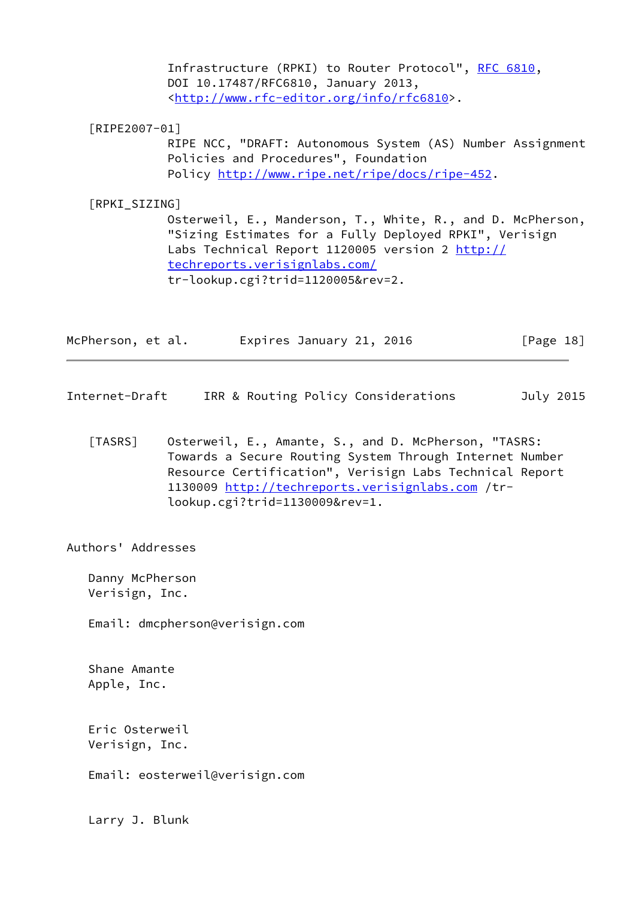Infrastructure (RPKI) to Router Protocol", [RFC 6810](https://datatracker.ietf.org/doc/pdf/rfc6810), DOI 10.17487/RFC6810, January 2013, <<http://www.rfc-editor.org/info/rfc6810>>.

### <span id="page-20-2"></span>[RIPE2007-01]

 RIPE NCC, "DRAFT: Autonomous System (AS) Number Assignment Policies and Procedures", Foundation Policy<http://www.ripe.net/ripe/docs/ripe-452>.

#### <span id="page-20-3"></span>[RPKI\_SIZING]

 Osterweil, E., Manderson, T., White, R., and D. McPherson, "Sizing Estimates for a Fully Deployed RPKI", Verisign Labs Technical Report 1120005 version 2 [http://](http://techreports.verisignlabs.com/) [techreports.verisignlabs.com/](http://techreports.verisignlabs.com/) tr-lookup.cgi?trid=1120005&rev=2.

| McPherson, et al. | Expires January 21, 2016 | [Page 18] |
|-------------------|--------------------------|-----------|
|-------------------|--------------------------|-----------|

- <span id="page-20-1"></span><span id="page-20-0"></span>Internet-Draft IRR & Routing Policy Considerations July 2015
	- [TASRS] Osterweil, E., Amante, S., and D. McPherson, "TASRS: Towards a Secure Routing System Through Internet Number Resource Certification", Verisign Labs Technical Report 1130009 <http://techreports.verisignlabs.com> /tr lookup.cgi?trid=1130009&rev=1.

Authors' Addresses

 Danny McPherson Verisign, Inc.

Email: dmcpherson@verisign.com

 Shane Amante Apple, Inc.

 Eric Osterweil Verisign, Inc.

Email: eosterweil@verisign.com

Larry J. Blunk